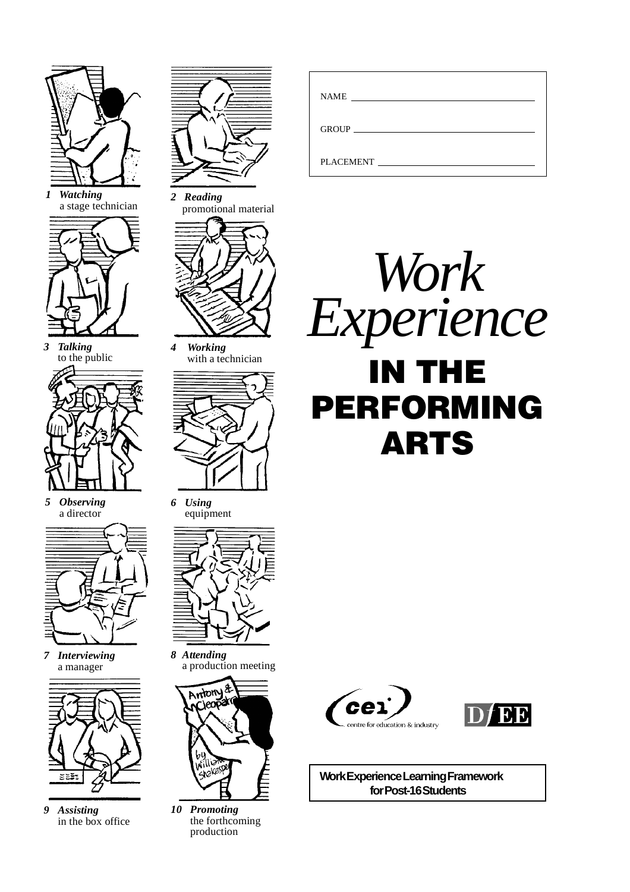

*1 Watching* a stage technician



*3 Talking* to the public

*5 Observing* a director



*7 Interviewing* a manager



*9 Assisting* in the box office



*2 Reading* promotional material



*4 Working* with a technician



*6 Using* equipment



*8 Attending* a production meeting



*10 Promoting* the forthcoming production

| $\begin{tabular}{c} \bf{NAME} \end{tabular}$ |  |
|----------------------------------------------|--|
|                                              |  |
| <b>PLACEMENT</b>                             |  |







**Work Experience Learning Framework for Post-16 Students**